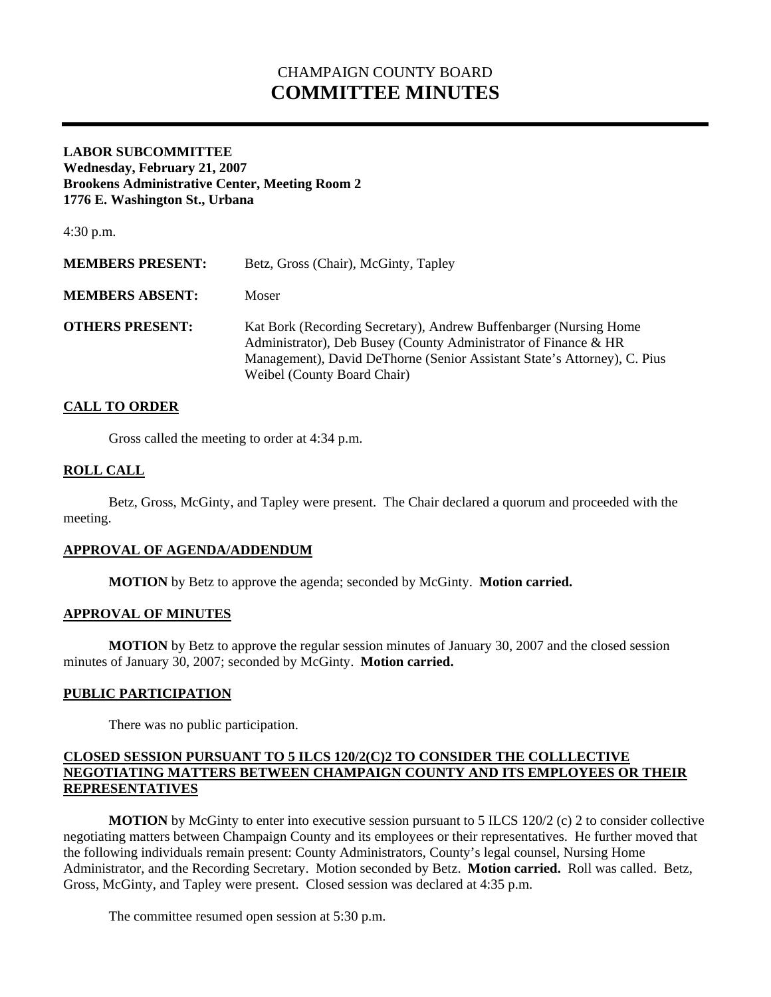# CHAMPAIGN COUNTY BOARD **COMMITTEE MINUTES**

### **LABOR SUBCOMMITTEE Wednesday, February 21, 2007 Brookens Administrative Center, Meeting Room 2 1776 E. Washington St., Urbana**

4:30 p.m.

| <b>MEMBERS PRESENT:</b> | Betz, Gross (Chair), McGinty, Tapley                                                                                                                                                                                                            |
|-------------------------|-------------------------------------------------------------------------------------------------------------------------------------------------------------------------------------------------------------------------------------------------|
| <b>MEMBERS ABSENT:</b>  | Moser                                                                                                                                                                                                                                           |
| <b>OTHERS PRESENT:</b>  | Kat Bork (Recording Secretary), Andrew Buffenbarger (Nursing Home<br>Administrator), Deb Busey (County Administrator of Finance & HR<br>Management), David DeThorne (Senior Assistant State's Attorney), C. Pius<br>Weibel (County Board Chair) |

## **CALL TO ORDER**

Gross called the meeting to order at 4:34 p.m.

### **ROLL CALL**

 Betz, Gross, McGinty, and Tapley were present. The Chair declared a quorum and proceeded with the meeting.

### **APPROVAL OF AGENDA/ADDENDUM**

 **MOTION** by Betz to approve the agenda; seconded by McGinty. **Motion carried.** 

### **APPROVAL OF MINUTES**

**MOTION** by Betz to approve the regular session minutes of January 30, 2007 and the closed session minutes of January 30, 2007; seconded by McGinty. **Motion carried.** 

### **PUBLIC PARTICIPATION**

There was no public participation.

### **CLOSED SESSION PURSUANT TO 5 ILCS 120/2(C)2 TO CONSIDER THE COLLLECTIVE NEGOTIATING MATTERS BETWEEN CHAMPAIGN COUNTY AND ITS EMPLOYEES OR THEIR REPRESENTATIVES**

**MOTION** by McGinty to enter into executive session pursuant to 5 ILCS 120/2 (c) 2 to consider collective negotiating matters between Champaign County and its employees or their representatives. He further moved that the following individuals remain present: County Administrators, County's legal counsel, Nursing Home Administrator, and the Recording Secretary. Motion seconded by Betz. **Motion carried.** Roll was called. Betz, Gross, McGinty, and Tapley were present. Closed session was declared at 4:35 p.m.

The committee resumed open session at 5:30 p.m.